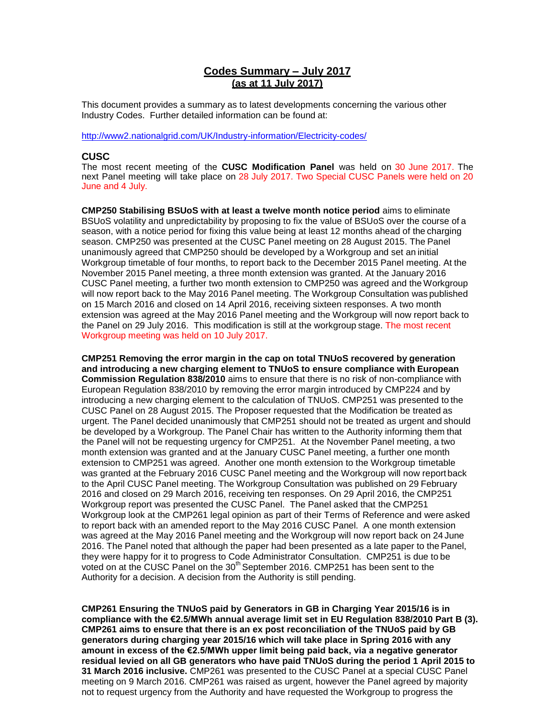# **Codes Summary – July 2017 (as at 11 July 2017)**

This document provides a summary as to latest developments concerning the various other Industry Codes. Further detailed information can be found at:

<http://www2.nationalgrid.com/UK/Industry-information/Electricity-codes/>

# **CUSC**

The most recent meeting of the **CUSC Modification Panel** was held on 30 June 2017. The next Panel meeting will take place on 28 July 2017. Two Special CUSC Panels were held on 20 June and 4 July.

**CMP250 Stabilising BSUoS with at least a twelve month notice period** aims to eliminate BSUoS volatility and unpredictability by proposing to fix the value of BSUoS over the course of a season, with a notice period for fixing this value being at least 12 months ahead of the charging season. CMP250 was presented at the CUSC Panel meeting on 28 August 2015. The Panel unanimously agreed that CMP250 should be developed by a Workgroup and set an initial Workgroup timetable of four months, to report back to the December 2015 Panel meeting. At the November 2015 Panel meeting, a three month extension was granted. At the January 2016 CUSC Panel meeting, a further two month extension to CMP250 was agreed and the Workgroup will now report back to the May 2016 Panel meeting. The Workgroup Consultation was published on 15 March 2016 and closed on 14 April 2016, receiving sixteen responses. A two month extension was agreed at the May 2016 Panel meeting and the Workgroup will now report back to the Panel on 29 July 2016. This modification is still at the workgroup stage. The most recent Workgroup meeting was held on 10 July 2017.

**CMP251 Removing the error margin in the cap on total TNUoS recovered by generation and introducing a new charging element to TNUoS to ensure compliance with European Commission Regulation 838/2010** aims to ensure that there is no risk of non-compliance with European Regulation 838/2010 by removing the error margin introduced by CMP224 and by introducing a new charging element to the calculation of TNUoS. CMP251 was presented to the CUSC Panel on 28 August 2015. The Proposer requested that the Modification be treated as urgent. The Panel decided unanimously that CMP251 should not be treated as urgent and should be developed by a Workgroup. The Panel Chair has written to the Authority informing them that the Panel will not be requesting urgency for CMP251. At the November Panel meeting, a two month extension was granted and at the January CUSC Panel meeting, a further one month extension to CMP251 was agreed. Another one month extension to the Workgroup timetable was granted at the February 2016 CUSC Panel meeting and the Workgroup will now report back to the April CUSC Panel meeting. The Workgroup Consultation was published on 29 February 2016 and closed on 29 March 2016, receiving ten responses. On 29 April 2016, the CMP251 Workgroup report was presented the CUSC Panel. The Panel asked that the CMP251 Workgroup look at the CMP261 legal opinion as part of their Terms of Reference and were asked to report back with an amended report to the May 2016 CUSC Panel. A one month extension was agreed at the May 2016 Panel meeting and the Workgroup will now report back on 24 June 2016. The Panel noted that although the paper had been presented as a late paper to the Panel, they were happy for it to progress to Code Administrator Consultation. CMP251 is due to be voted on at the CUSC Panel on the 30<sup>th</sup> September 2016. CMP251 has been sent to the Authority for a decision. A decision from the Authority is still pending.

**CMP261 Ensuring the TNUoS paid by Generators in GB in Charging Year 2015/16 is in compliance with the €2.5/MWh annual average limit set in EU Regulation 838/2010 Part B (3). CMP261 aims to ensure that there is an ex post reconciliation of the TNUoS paid by GB generators during charging year 2015/16 which will take place in Spring 2016 with any amount in excess of the €2.5/MWh upper limit being paid back, via a negative generator residual levied on all GB generators who have paid TNUoS during the period 1 April 2015 to 31 March 2016 inclusive.** CMP261 was presented to the CUSC Panel at a special CUSC Panel meeting on 9 March 2016. CMP261 was raised as urgent, however the Panel agreed by majority not to request urgency from the Authority and have requested the Workgroup to progress the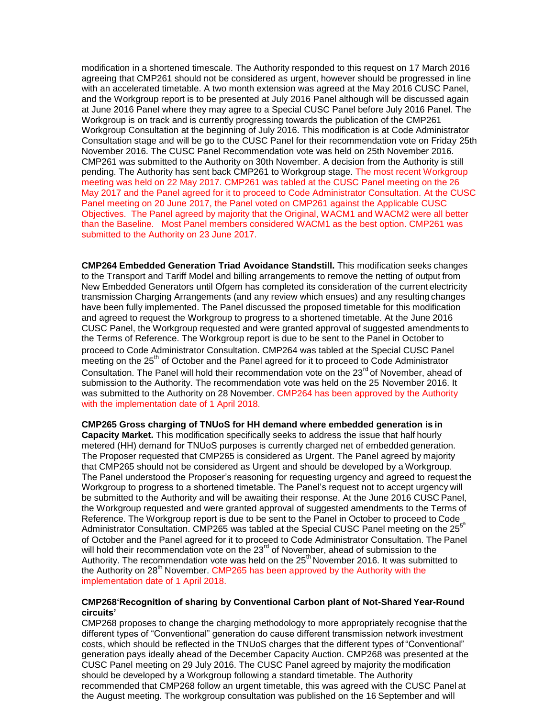modification in a shortened timescale. The Authority responded to this request on 17 March 2016 agreeing that CMP261 should not be considered as urgent, however should be progressed in line with an accelerated timetable. A two month extension was agreed at the May 2016 CUSC Panel, and the Workgroup report is to be presented at July 2016 Panel although will be discussed again at June 2016 Panel where they may agree to a Special CUSC Panel before July 2016 Panel. The Workgroup is on track and is currently progressing towards the publication of the CMP261 Workgroup Consultation at the beginning of July 2016. This modification is at Code Administrator Consultation stage and will be go to the CUSC Panel for their recommendation vote on Friday 25th November 2016. The CUSC Panel Recommendation vote was held on 25th November 2016. CMP261 was submitted to the Authority on 30th November. A decision from the Authority is still pending. The Authority has sent back CMP261 to Workgroup stage. The most recent Workgroup meeting was held on 22 May 2017. CMP261 was tabled at the CUSC Panel meeting on the 26 May 2017 and the Panel agreed for it to proceed to Code Administrator Consultation. At the CUSC Panel meeting on 20 June 2017, the Panel voted on CMP261 against the Applicable CUSC Objectives. The Panel agreed by majority that the Original, WACM1 and WACM2 were all better than the Baseline. Most Panel members considered WACM1 as the best option. CMP261 was submitted to the Authority on 23 June 2017.

**CMP264 Embedded Generation Triad Avoidance Standstill.** This modification seeks changes to the Transport and Tariff Model and billing arrangements to remove the netting of output from New Embedded Generators until Ofgem has completed its consideration of the current electricity transmission Charging Arrangements (and any review which ensues) and any resulting changes have been fully implemented. The Panel discussed the proposed timetable for this modification and agreed to request the Workgroup to progress to a shortened timetable. At the June 2016 CUSC Panel, the Workgroup requested and were granted approval of suggested amendments to the Terms of Reference. The Workgroup report is due to be sent to the Panel in October to proceed to Code Administrator Consultation. CMP264 was tabled at the Special CUSC Panel meeting on the  $25<sup>th</sup>$  of October and the Panel agreed for it to proceed to Code Administrator Consultation. The Panel will hold their recommendation vote on the 23<sup>rd</sup> of November, ahead of submission to the Authority. The recommendation vote was held on the 25 November 2016. It was submitted to the Authority on 28 November. CMP264 has been approved by the Authority with the implementation date of 1 April 2018.

**CMP265 Gross charging of TNUoS for HH demand where embedded generation is in Capacity Market.** This modification specifically seeks to address the issue that half hourly metered (HH) demand for TNUoS purposes is currently charged net of embedded generation. The Proposer requested that CMP265 is considered as Urgent. The Panel agreed by majority that CMP265 should not be considered as Urgent and should be developed by a Workgroup. The Panel understood the Proposer's reasoning for requesting urgency and agreed to request the Workgroup to progress to a shortened timetable. The Panel's request not to accept urgency will be submitted to the Authority and will be awaiting their response. At the June 2016 CUSC Panel, the Workgroup requested and were granted approval of suggested amendments to the Terms of Reference. The Workgroup report is due to be sent to the Panel in October to proceed to Code Administrator Consultation. CMP265 was tabled at the Special CUSC Panel meeting on the 25<sup>5th</sup> of October and the Panel agreed for it to proceed to Code Administrator Consultation. The Panel will hold their recommendation vote on the 23<sup>rd</sup> of November, ahead of submission to the Authority. The recommendation vote was held on the  $25<sup>th</sup>$  November 2016. It was submitted to the Authority on 28<sup>th</sup> November. CMP265 has been approved by the Authority with the implementation date of 1 April 2018.

# **CMP268'Recognition of sharing by Conventional Carbon plant of Not-Shared Year-Round circuits'**

CMP268 proposes to change the charging methodology to more appropriately recognise that the different types of "Conventional" generation do cause different transmission network investment costs, which should be reflected in the TNUoS charges that the different types of "Conventional" generation pays ideally ahead of the December Capacity Auction. CMP268 was presented at the CUSC Panel meeting on 29 July 2016. The CUSC Panel agreed by majority the modification should be developed by a Workgroup following a standard timetable. The Authority recommended that CMP268 follow an urgent timetable, this was agreed with the CUSC Panel at the August meeting. The workgroup consultation was published on the 16 September and will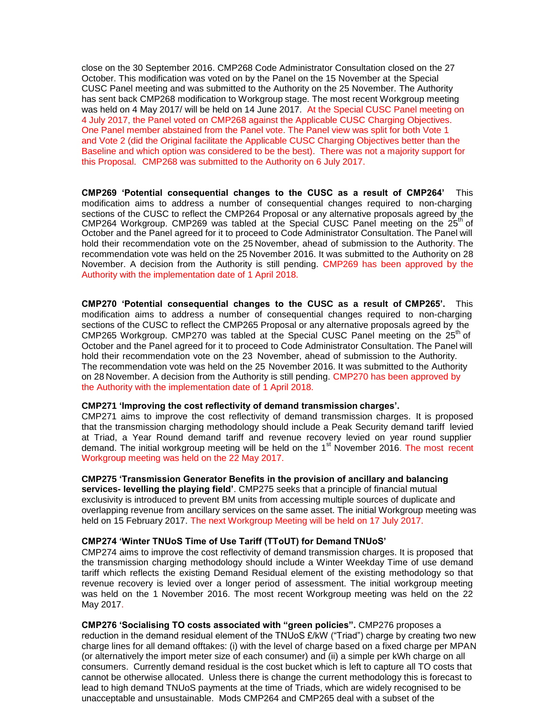close on the 30 September 2016. CMP268 Code Administrator Consultation closed on the 27 October. This modification was voted on by the Panel on the 15 November at the Special CUSC Panel meeting and was submitted to the Authority on the 25 November. The Authority has sent back CMP268 modification to Workgroup stage. The most recent Workgroup meeting was held on 4 May 2017/ will be held on 14 June 2017. At the Special CUSC Panel meeting on 4 July 2017, the Panel voted on CMP268 against the Applicable CUSC Charging Objectives. One Panel member abstained from the Panel vote. The Panel view was split for both Vote 1 and Vote 2 (did the Original facilitate the Applicable CUSC Charging Objectives better than the Baseline and which option was considered to be the best). There was not a majority support for this Proposal. CMP268 was submitted to the Authority on 6 July 2017.

**CMP269 'Potential consequential changes to the CUSC as a result of CMP264'** This modification aims to address a number of consequential changes required to non-charging sections of the CUSC to reflect the CMP264 Proposal or any alternative proposals agreed by the CMP264 Workgroup. CMP269 was tabled at the Special CUSC Panel meeting on the  $25<sup>th</sup>$  of October and the Panel agreed for it to proceed to Code Administrator Consultation. The Panel will hold their recommendation vote on the 25 November, ahead of submission to the Authority. The recommendation vote was held on the 25 November 2016. It was submitted to the Authority on 28 November. A decision from the Authority is still pending. CMP269 has been approved by the Authority with the implementation date of 1 April 2018.

**CMP270 'Potential consequential changes to the CUSC as a result of CMP265'.** This modification aims to address a number of consequential changes required to non-charging sections of the CUSC to reflect the CMP265 Proposal or any alternative proposals agreed by the CMP265 Workgroup. CMP270 was tabled at the Special CUSC Panel meeting on the  $25<sup>th</sup>$  of October and the Panel agreed for it to proceed to Code Administrator Consultation. The Panel will hold their recommendation vote on the 23 November, ahead of submission to the Authority. The recommendation vote was held on the 25 November 2016. It was submitted to the Authority on 28 November. A decision from the Authority is still pending. CMP270 has been approved by the Authority with the implementation date of 1 April 2018.

#### **CMP271 'Improving the cost reflectivity of demand transmission charges'.**

CMP271 aims to improve the cost reflectivity of demand transmission charges. It is proposed that the transmission charging methodology should include a Peak Security demand tariff levied at Triad, a Year Round demand tariff and revenue recovery levied on year round supplier demand. The initial workgroup meeting will be held on the 1<sup>st</sup> November 2016. The most recent Workgroup meeting was held on the 22 May 2017.

#### **CMP275 'Transmission Generator Benefits in the provision of ancillary and balancing**

**services- levelling the playing field'**. CMP275 seeks that a principle of financial mutual exclusivity is introduced to prevent BM units from accessing multiple sources of duplicate and overlapping revenue from ancillary services on the same asset. The initial Workgroup meeting was held on 15 February 2017. The next Workgroup Meeting will be held on 17 July 2017.

#### **CMP274 'Winter TNUoS Time of Use Tariff (TToUT) for Demand TNUoS'**

CMP274 aims to improve the cost reflectivity of demand transmission charges. It is proposed that the transmission charging methodology should include a Winter Weekday Time of use demand tariff which reflects the existing Demand Residual element of the existing methodology so that revenue recovery is levied over a longer period of assessment. The initial workgroup meeting was held on the 1 November 2016. The most recent Workgroup meeting was held on the 22 May 2017.

**CMP276 'Socialising TO costs associated with "green policies".** CMP276 proposes a reduction in the demand residual element of the TNUoS £/kW ("Triad") charge by creating two new charge lines for all demand offtakes: (i) with the level of charge based on a fixed charge per MPAN (or alternatively the import meter size of each consumer) and (ii) a simple per kWh charge on all consumers. Currently demand residual is the cost bucket which is left to capture all TO costs that cannot be otherwise allocated. Unless there is change the current methodology this is forecast to lead to high demand TNUoS payments at the time of Triads, which are widely recognised to be unacceptable and unsustainable. Mods CMP264 and CMP265 deal with a subset of the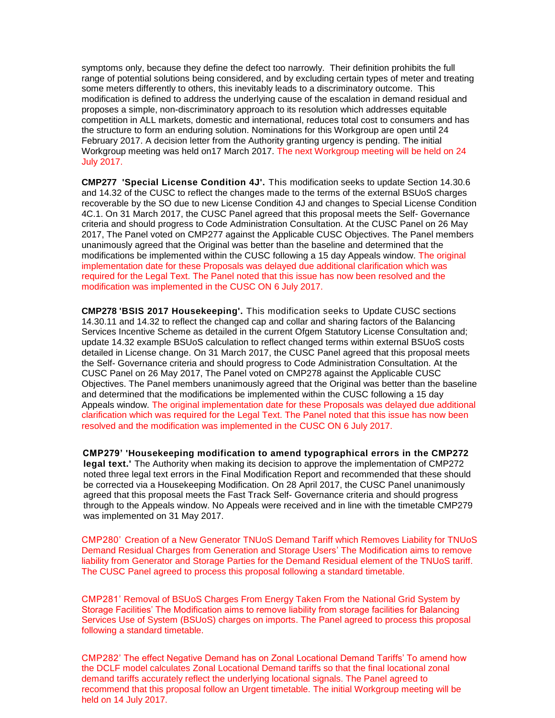symptoms only, because they define the defect too narrowly. Their definition prohibits the full range of potential solutions being considered, and by excluding certain types of meter and treating some meters differently to others, this inevitably leads to a discriminatory outcome. This modification is defined to address the underlying cause of the escalation in demand residual and proposes a simple, non-discriminatory approach to its resolution which addresses equitable competition in ALL markets, domestic and international, reduces total cost to consumers and has the structure to form an enduring solution. Nominations for this Workgroup are open until 24 February 2017. A decision letter from the Authority granting urgency is pending. The initial Workgroup meeting was held on17 March 2017. The next Workgroup meeting will be held on 24 July 2017.

**CMP277 'Special License Condition 4J'.** This modification seeks to update Section 14.30.6 and 14.32 of the CUSC to reflect the changes made to the terms of the external BSUoS charges recoverable by the SO due to new License Condition 4J and changes to Special License Condition 4C.1. On 31 March 2017, the CUSC Panel agreed that this proposal meets the Self- Governance criteria and should progress to Code Administration Consultation. At the CUSC Panel on 26 May 2017, The Panel voted on CMP277 against the Applicable CUSC Objectives. The Panel members unanimously agreed that the Original was better than the baseline and determined that the modifications be implemented within the CUSC following a 15 day Appeals window. The original implementation date for these Proposals was delayed due additional clarification which was required for the Legal Text. The Panel noted that this issue has now been resolved and the modification was implemented in the CUSC ON 6 July 2017.

**CMP278 'BSIS 2017 Housekeeping'.** This modification seeks to Update CUSC sections 14.30.11 and 14.32 to reflect the changed cap and collar and sharing factors of the Balancing Services Incentive Scheme as detailed in the current Ofgem Statutory License Consultation and; update 14.32 example BSUoS calculation to reflect changed terms within external BSUoS costs detailed in License change. On 31 March 2017, the CUSC Panel agreed that this proposal meets the Self- Governance criteria and should progress to Code Administration Consultation. At the CUSC Panel on 26 May 2017, The Panel voted on CMP278 against the Applicable CUSC Objectives. The Panel members unanimously agreed that the Original was better than the baseline and determined that the modifications be implemented within the CUSC following a 15 day Appeals window. The original implementation date for these Proposals was delayed due additional clarification which was required for the Legal Text. The Panel noted that this issue has now been resolved and the modification was implemented in the CUSC ON 6 July 2017.

 **CMP279' 'Housekeeping modification to amend typographical errors in the CMP272 legal text.'** The Authority when making its decision to approve the implementation of CMP272 noted three legal text errors in the Final Modification Report and recommended that these should be corrected via a Housekeeping Modification. On 28 April 2017, the CUSC Panel unanimously agreed that this proposal meets the Fast Track Self- Governance criteria and should progress through to the Appeals window. No Appeals were received and in line with the timetable CMP279 was implemented on 31 May 2017.

CMP280' Creation of a New Generator TNUoS Demand Tariff which Removes Liability for TNUoS Demand Residual Charges from Generation and Storage Users' The Modification aims to remove liability from Generator and Storage Parties for the Demand Residual element of the TNUoS tariff. The CUSC Panel agreed to process this proposal following a standard timetable.

CMP281' Removal of BSUoS Charges From Energy Taken From the National Grid System by Storage Facilities' The Modification aims to remove liability from storage facilities for Balancing Services Use of System (BSUoS) charges on imports. The Panel agreed to process this proposal following a standard timetable.

CMP282' The effect Negative Demand has on Zonal Locational Demand Tariffs' To amend how the DCLF model calculates Zonal Locational Demand tariffs so that the final locational zonal demand tariffs accurately reflect the underlying locational signals. The Panel agreed to recommend that this proposal follow an Urgent timetable. The initial Workgroup meeting will be held on 14 July 2017.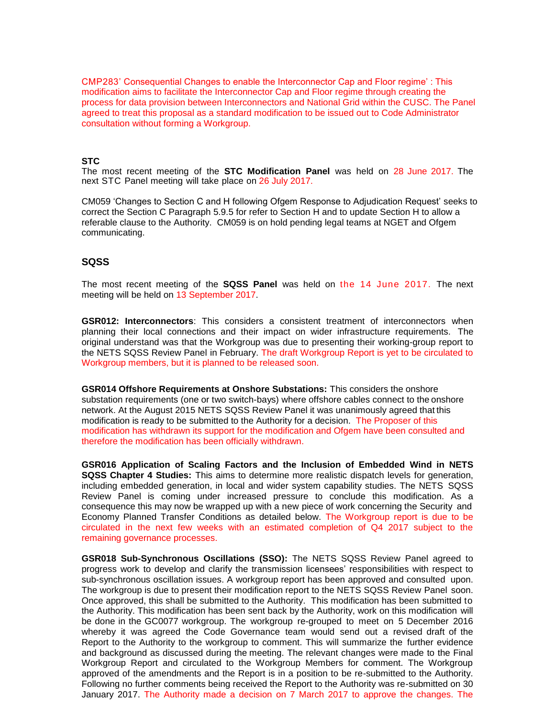CMP283' Consequential Changes to enable the Interconnector Cap and Floor regime' : This modification aims to facilitate the Interconnector Cap and Floor regime through creating the process for data provision between Interconnectors and National Grid within the CUSC. The Panel agreed to treat this proposal as a standard modification to be issued out to Code Administrator consultation without forming a Workgroup.

# **STC**

The most recent meeting of the **STC Modification Panel** was held on 28 June 2017. The next STC Panel meeting will take place on 26 July 2017.

CM059 'Changes to Section C and H following Ofgem Response to Adjudication Request' seeks to correct the Section C Paragraph 5.9.5 for refer to Section H and to update Section H to allow a referable clause to the Authority. CM059 is on hold pending legal teams at NGET and Ofgem communicating.

# **SQSS**

The most recent meeting of the **SQSS Panel** was held on the 14 June 2017. The next meeting will be held on 13 September 2017.

**GSR012: Interconnectors**: This considers a consistent treatment of interconnectors when planning their local connections and their impact on wider infrastructure requirements. The original understand was that the Workgroup was due to presenting their working-group report to the NETS SQSS Review Panel in February. The draft Workgroup Report is yet to be circulated to Workgroup members, but it is planned to be released soon.

**GSR014 Offshore Requirements at Onshore Substations:** This considers the onshore substation requirements (one or two switch-bays) where offshore cables connect to the onshore network. At the August 2015 NETS SQSS Review Panel it was unanimously agreed that this modification is ready to be submitted to the Authority for a decision. The Proposer of this modification has withdrawn its support for the modification and Ofgem have been consulted and therefore the modification has been officially withdrawn.

**GSR016 Application of Scaling Factors and the Inclusion of Embedded Wind in NETS SQSS Chapter 4 Studies:** This aims to determine more realistic dispatch levels for generation, including embedded generation, in local and wider system capability studies. The NETS SQSS Review Panel is coming under increased pressure to conclude this modification. As a consequence this may now be wrapped up with a new piece of work concerning the Security and Economy Planned Transfer Conditions as detailed below. The Workgroup report is due to be circulated in the next few weeks with an estimated completion of Q4 2017 subject to the remaining governance processes.

**GSR018 Sub-Synchronous Oscillations (SSO):** The NETS SQSS Review Panel agreed to progress work to develop and clarify the transmission licensees' responsibilities with respect to sub-synchronous oscillation issues. A workgroup report has been approved and consulted upon. The workgroup is due to present their modification report to the NETS SQSS Review Panel soon. Once approved, this shall be submitted to the Authority. This modification has been submitted to the Authority. This modification has been sent back by the Authority, work on this modification will be done in the GC0077 workgroup. The workgroup re-grouped to meet on 5 December 2016 whereby it was agreed the Code Governance team would send out a revised draft of the Report to the Authority to the workgroup to comment. This will summarize the further evidence and background as discussed during the meeting. The relevant changes were made to the Final Workgroup Report and circulated to the Workgroup Members for comment. The Workgroup approved of the amendments and the Report is in a position to be re-submitted to the Authority. Following no further comments being received the Report to the Authority was re-submitted on 30 January 2017. The Authority made a decision on 7 March 2017 to approve the changes. The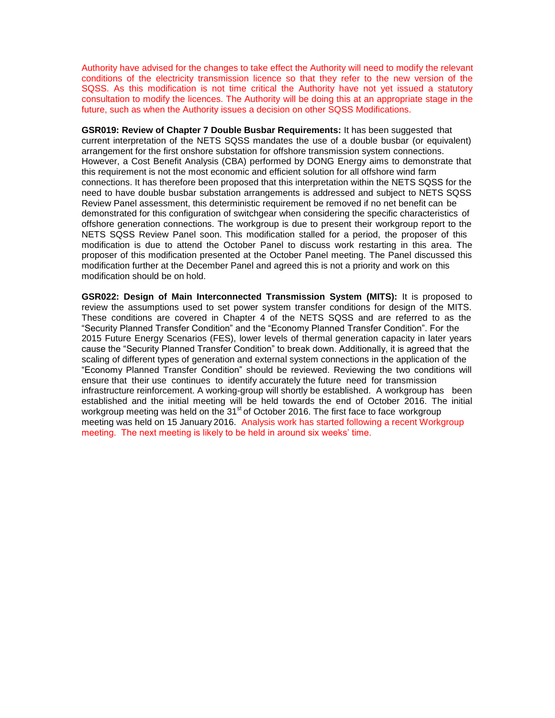Authority have advised for the changes to take effect the Authority will need to modify the relevant conditions of the electricity transmission licence so that they refer to the new version of the SQSS. As this modification is not time critical the Authority have not yet issued a statutory consultation to modify the licences. The Authority will be doing this at an appropriate stage in the future, such as when the Authority issues a decision on other SQSS Modifications.

**GSR019: Review of Chapter 7 Double Busbar Requirements:** It has been suggested that current interpretation of the NETS SQSS mandates the use of a double busbar (or equivalent) arrangement for the first onshore substation for offshore transmission system connections. However, a Cost Benefit Analysis (CBA) performed by DONG Energy aims to demonstrate that this requirement is not the most economic and efficient solution for all offshore wind farm connections. It has therefore been proposed that this interpretation within the NETS SQSS for the need to have double busbar substation arrangements is addressed and subject to NETS SQSS Review Panel assessment, this deterministic requirement be removed if no net benefit can be demonstrated for this configuration of switchgear when considering the specific characteristics of offshore generation connections. The workgroup is due to present their workgroup report to the NETS SQSS Review Panel soon. This modification stalled for a period, the proposer of this modification is due to attend the October Panel to discuss work restarting in this area. The proposer of this modification presented at the October Panel meeting. The Panel discussed this modification further at the December Panel and agreed this is not a priority and work on this modification should be on hold.

**GSR022: Design of Main Interconnected Transmission System (MITS):** It is proposed to review the assumptions used to set power system transfer conditions for design of the MITS. These conditions are covered in Chapter 4 of the NETS SQSS and are referred to as the "Security Planned Transfer Condition" and the "Economy Planned Transfer Condition". For the 2015 Future Energy Scenarios (FES), lower levels of thermal generation capacity in later years cause the "Security Planned Transfer Condition" to break down. Additionally, it is agreed that the scaling of different types of generation and external system connections in the application of the "Economy Planned Transfer Condition" should be reviewed. Reviewing the two conditions will ensure that their use continues to identify accurately the future need for transmission infrastructure reinforcement. A working-group will shortly be established. A workgroup has been established and the initial meeting will be held towards the end of October 2016. The initial workgroup meeting was held on the 31<sup>st</sup> of October 2016. The first face to face workgroup meeting was held on 15 January 2016. Analysis work has started following a recent Workgroup meeting. The next meeting is likely to be held in around six weeks' time.